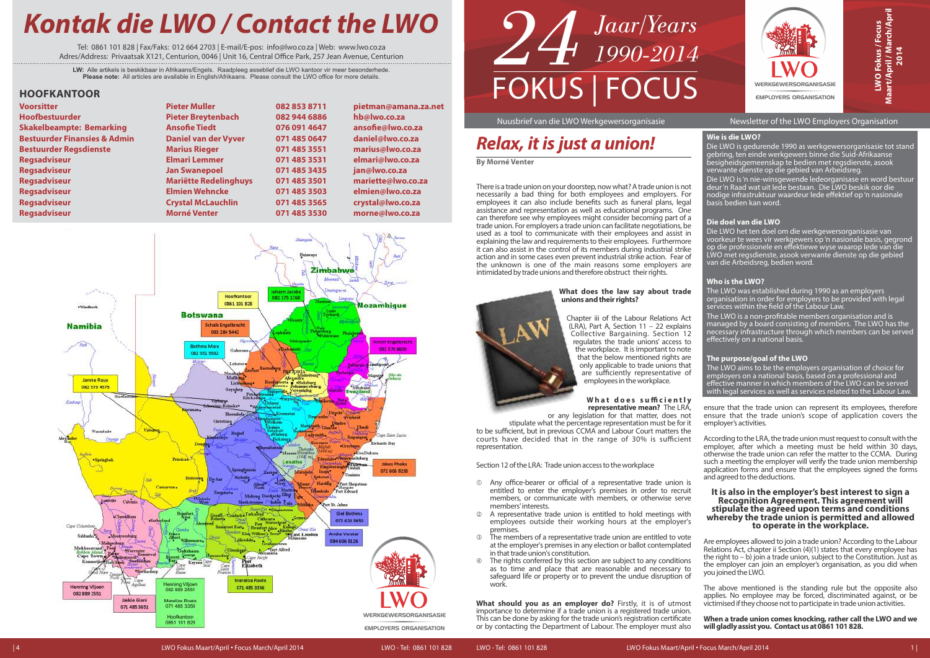| Ē                             |
|-------------------------------|
| <b>WERKGEWERSORGANISASIE</b>  |
| <b>EMPLOYERS ORGANISATION</b> |

LWO Fokus / Focus<br>Maart/April / March/April **O Fokus / Focus Maart/April / March/April 2014**

#### Nuusbrief van die LWO Werkgewersorganisasie Newsletter of the LWO Employers Organisation



#### **Wie is die LWO?**

Die LWO is gedurende 1990 as werkgewersorganisasie tot stand gebring, ten einde werkgewers binne die Suid-Afrikaanse besigheidsgemeenskap te bedien met regsdienste, asook verwante dienste op die gebied van Arbeidsreg.

The LWO was established during 1990 as an employers organisation in order for employers to be provided with legal services within the field of the Labour Law.

The LWO is a non-profitable members organisation and is managed by a board consisting of members. The LWO has the necessary infrastructure through which members can be served effectively on a national basis.

Die LWO is 'n nie-winsgewende ledeorganisase en word bestuur deur 'n Raad wat uit lede bestaan. Die LWO beskik oor die nodige infrastruktuur waardeur lede effektief op 'n nasionale basis bedien kan word.

#### **Die doel van die LWO**

Die LWO het ten doel om die werkgewersorganisasie van voorkeur te wees vir werkgewers op 'n nasionale basis, gegrond op die professionele en effektiewe wyse waarop lede van die LWO met regsdienste, asook verwante dienste op die gebied van die Arbeidsreg, bedien word.

#### **Who is the LWO?**

#### **The purpose/goal of the LWO**

The LWO aims to be the employers organisation of choice for employers on a national basis, based on a professional and effective manner in which members of the LWO can be served with legal services as well as services related to the Labour Law.

# **Kontak die LWO / Contact the LWO**

Tel: 0861 101 828 | Fax/Faks: 012 664 2703 | E-mail/E-pos: info@lwocoza | Web: wwwlwocoza Adres/Address: Privaatsak X121, Centurion, 0046 | Unit 16, Central Office Park, 257 Jean Avenue, Centurion

**LW:** Alle artikels is beskikbaar in Afrikaans/Engels. Raadpleeg asseblief die LWO kantoor vir meer besonderhede. **Please note:** All articles are available in English/Afrikaans. Please consult the LWO office for more details.

There is a trade union on your doorstep, now what? A trade union is not necessarily a bad thing for both employees and employers. For employees it can also include benefits such as funeral plans, legal assistance and representation as well as educational programs. One can therefore see why employees might consider becoming part of a trade union. For employers a trade union can facilitate negotiations, be used as a tool to communicate with their employees and assist in explaining the law and requirements to their employees. Furthermore it can also assist in the control of its members during industrial strike action and in some cases even prevent industrial strike action. Fear of the unknown is one of the main reasons some employers are intimidated by trade unions and therefore obstruct their rights.

#### **What does the law say about trade unions and their rights?**

Chapter iii of the Labour Relations Act (LRA), Part A, Section 11 – 22 explains Collective Bargaining. Section 12 regulates the trade unions' access to the workplace. It is important to note that the below mentioned rights are only applicable to trade unions that are sufficiently representative of employees in the workplace.

#### **W h a t d o e s s u ffi c i e n tl y representative mean?** The LRA,

or any legislation for that matter, does not stipulate what the percentage representation must be for it to be sufficient, but in previous CCMA and Labour Court matters the courts have decided that in the range of 30% is sufficient representation.

Section 12 of the LRA: Trade union access to the workplace

- Any office-bearer or official of a representative trade union is entitled to enter the employer's premises in order to recruit members, or communicate with members, or otherwise serve members' interests.
- A representative trade union is entitled to hold meetings with employees outside their working hours at the employer's premises.
- The members of a representative trade union are entitled to vote at the employer's premises in any election or ballot contemplated in that trade union's constitution.
- The rights conferred by this section are subject to any conditions as to time and place that are reasonable and necessary to safeguard life or property or to prevent the undue disruption of work.

ensure that the trade union can represent its employees, therefore ensure that the trade union's scope of application covers the employer's activities.

According to the LRA, the trade union must request to consult with the employer, after which a meeting must be held within 30 days, otherwise the trade union can refer the matter to the CCMA. During such a meeting the employer will verify the trade union membership application forms and ensure that the employees signed the forms and agreed to the deductions.

**What should you as an employer do?** Firstly, it is of utmost importance to determine if a trade union is a registered trade union. This can be done by asking for the trade union's registration certificate or by contacting the Department of Labour. The employer must also victimised if they choose not to participate in trade union activities. **When a trade union comes knocking, rather call the LWO and we will gladly assist you. Contact us at 0861 101 828.**

#### **It is also in the employer's best interest to sign a Recognition Agreement. This agreement will stipulate the agreed upon terms and conditions whereby the trade union is permitted and allowed to operate in the workplace.**

Are employees allowed to join a trade union? According to the Labour Relations Act, chapter ii Section (4)(1) states that every employee has the right to – b) join a trade union, subject to the Constitution. Just as the employer can join an employer's organisation, as you did when you joined the LWO.

The above mentioned is the standing rule but the opposite also applies. No employee may be forced, discriminated against, or be

# **Relax, it is just a union!**

**By Morné Venter**



| <b>Voorsitter</b>                       |
|-----------------------------------------|
| <b>Hoofbestuurder</b>                   |
| <b>Skakelbeampte: Bemarking</b>         |
| <b>Bestuurder Finansies &amp; Admin</b> |
| <b>Bestuurder Regsdienste</b>           |
| <b>Regsadviseur</b>                     |
| <b>Regsadviseur</b>                     |
| <b>Regsadviseur</b>                     |
| <b>Regsadviseur</b>                     |
| <b>Regsadviseur</b>                     |
| <b>Regsadviseur</b>                     |

| Pieter Muller                |
|------------------------------|
| <b>Pieter Breytenbach</b>    |
| <b>Ansofie Tiedt</b>         |
| <b>Daniel van der Vyver</b>  |
| <b>Marius Rieger</b>         |
| <b>Elmari Lemmer</b>         |
| <b>Jan Swanepoel</b>         |
| <b>Mariëtte Redelinghuys</b> |
| <b>Elmien Wehncke</b>        |
| <b>Crystal McLauchlin</b>    |
| <b>Morné Venter</b>          |

**pietman@amana.za.net hb@lwo.co.za** ansofie@lwo.co.za **daniel@lwo.co.za marius@lwo.co.za elmari@lwo.co.za jan@lwo.co.za mariette@lwo.co.za elmien@lwo.co.za crystal@lwo.co.za morne@lwo.co.za** 

#### **HOOFKANTOOR**